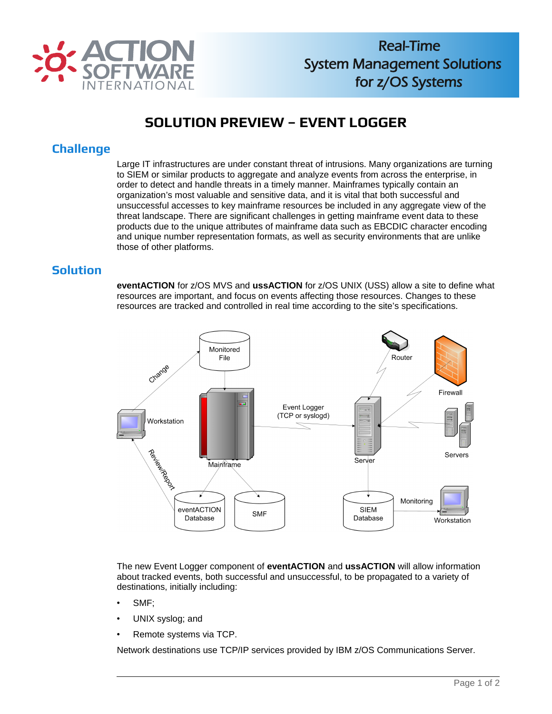

# **SOLUTION PREVIEW – EVENT LOGGER**

## **Challenge**

Large IT infrastructures are under constant threat of intrusions. Many organizations are turning to SIEM or similar products to aggregate and analyze events from across the enterprise, in order to detect and handle threats in a timely manner. Mainframes typically contain an organization's most valuable and sensitive data, and it is vital that both successful and unsuccessful accesses to key mainframe resources be included in any aggregate view of the threat landscape. There are significant challenges in getting mainframe event data to these products due to the unique attributes of mainframe data such as EBCDIC character encoding and unique number representation formats, as well as security environments that are unlike those of other platforms.

#### **Solution**

**eventACTION** for z/OS MVS and **ussACTION** for z/OS UNIX (USS) allow a site to define what resources are important, and focus on events affecting those resources. Changes to these resources are tracked and controlled in real time according to the site's specifications.



The new Event Logger component of **eventACTION** and **ussACTION** will allow information about tracked events, both successful and unsuccessful, to be propagated to a variety of destinations, initially including:

- SMF;
- UNIX syslog; and
- Remote systems via TCP.

Network destinations use TCP/IP services provided by IBM z/OS Communications Server.